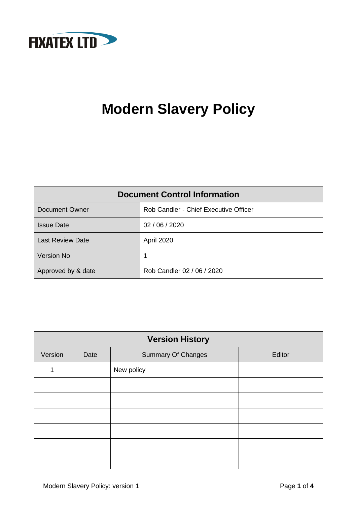

# **Modern Slavery Policy**

| <b>Document Control Information</b> |                                       |  |
|-------------------------------------|---------------------------------------|--|
| Document Owner                      | Rob Candler - Chief Executive Officer |  |
| <b>Issue Date</b>                   | 02 / 06 / 2020                        |  |
| <b>Last Review Date</b>             | <b>April 2020</b>                     |  |
| <b>Version No</b>                   |                                       |  |
| Approved by & date                  | Rob Candler 02 / 06 / 2020            |  |

| <b>Version History</b> |      |                           |        |  |
|------------------------|------|---------------------------|--------|--|
| Version                | Date | <b>Summary Of Changes</b> | Editor |  |
| 1                      |      | New policy                |        |  |
|                        |      |                           |        |  |
|                        |      |                           |        |  |
|                        |      |                           |        |  |
|                        |      |                           |        |  |
|                        |      |                           |        |  |
|                        |      |                           |        |  |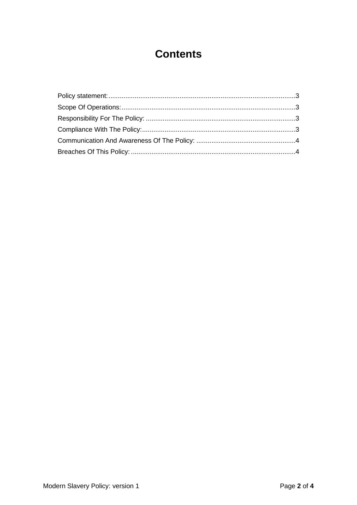# **Contents**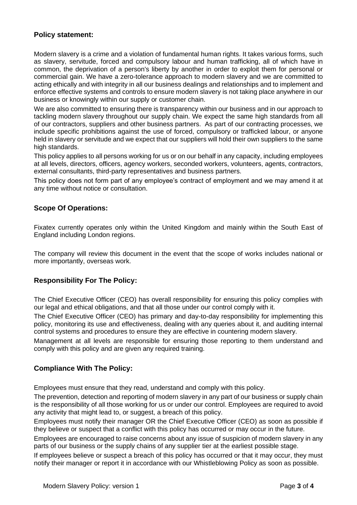# <span id="page-2-0"></span>**Policy statement:**

Modern slavery is a crime and a violation of fundamental human rights. It takes various forms, such as slavery, servitude, forced and compulsory labour and human trafficking, all of which have in common, the deprivation of a person's liberty by another in order to exploit them for personal or commercial gain. We have a zero-tolerance approach to modern slavery and we are committed to acting ethically and with integrity in all our business dealings and relationships and to implement and enforce effective systems and controls to ensure modern slavery is not taking place anywhere in our business or knowingly within our supply or customer chain.

We are also committed to ensuring there is transparency within our business and in our approach to tackling modern slavery throughout our supply chain. We expect the same high standards from all of our contractors, suppliers and other business partners. As part of our contracting processes, we include specific prohibitions against the use of forced, compulsory or trafficked labour, or anyone held in slavery or servitude and we expect that our suppliers will hold their own suppliers to the same high standards.

This policy applies to all persons working for us or on our behalf in any capacity, including employees at all levels, directors, officers, agency workers, seconded workers, volunteers, agents, contractors, external consultants, third-party representatives and business partners.

This policy does not form part of any employee's contract of employment and we may amend it at any time without notice or consultation.

## <span id="page-2-1"></span>**Scope Of Operations:**

Fixatex currently operates only within the United Kingdom and mainly within the South East of England including London regions.

The company will review this document in the event that the scope of works includes national or more importantly, overseas work.

#### <span id="page-2-2"></span>**Responsibility For The Policy:**

The Chief Executive Officer (CEO) has overall responsibility for ensuring this policy complies with our legal and ethical obligations, and that all those under our control comply with it.

The Chief Executive Officer (CEO) has primary and day-to-day responsibility for implementing this policy, monitoring its use and effectiveness, dealing with any queries about it, and auditing internal control systems and procedures to ensure they are effective in countering modern slavery.

Management at all levels are responsible for ensuring those reporting to them understand and comply with this policy and are given any required training.

#### <span id="page-2-3"></span>**Compliance With The Policy:**

Employees must ensure that they read, understand and comply with this policy.

The prevention, detection and reporting of modern slavery in any part of our business or supply chain is the responsibility of all those working for us or under our control. Employees are required to avoid any activity that might lead to, or suggest, a breach of this policy.

Employees must notify their manager OR the Chief Executive Officer (CEO) as soon as possible if they believe or suspect that a conflict with this policy has occurred or may occur in the future.

Employees are encouraged to raise concerns about any issue of suspicion of modern slavery in any parts of our business or the supply chains of any supplier tier at the earliest possible stage.

If employees believe or suspect a breach of this policy has occurred or that it may occur, they must notify their manager or report it in accordance with our Whistleblowing Policy as soon as possible.